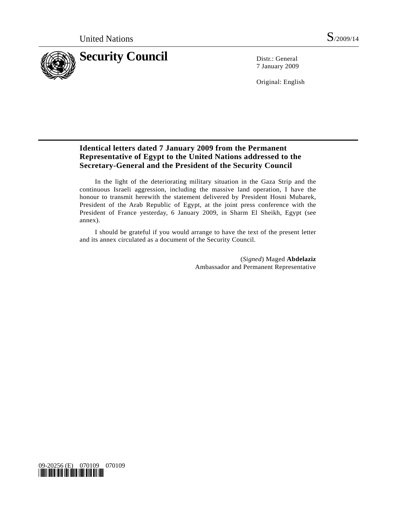

7 January 2009

Original: English

## **Identical letters dated 7 January 2009 from the Permanent Representative of Egypt to the United Nations addressed to the Secretary-General and the President of the Security Council**

 In the light of the deteriorating military situation in the Gaza Strip and the continuous Israeli aggression, including the massive land operation, I have the honour to transmit herewith the statement delivered by President Hosni Mubarek, President of the Arab Republic of Egypt, at the joint press conference with the President of France yesterday, 6 January 2009, in Sharm El Sheikh, Egypt (see annex).

 I should be grateful if you would arrange to have the text of the present letter and its annex circulated as a document of the Security Council.

> (*Signed*) Maged **Abdelaziz** Ambassador and Permanent Representative

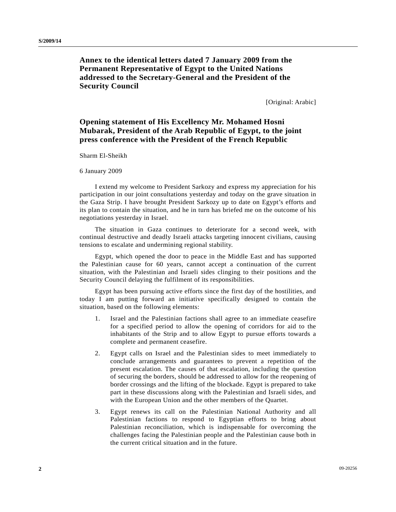## **Annex to the identical letters dated 7 January 2009 from the Permanent Representative of Egypt to the United Nations addressed to the Secretary-General and the President of the Security Council**

[Original: Arabic]

## **Opening statement of His Excellency Mr. Mohamed Hosni Mubarak, President of the Arab Republic of Egypt, to the joint press conference with the President of the French Republic**

Sharm El-Sheikh

6 January 2009

 I extend my welcome to President Sarkozy and express my appreciation for his participation in our joint consultations yesterday and today on the grave situation in the Gaza Strip. I have brought President Sarkozy up to date on Egypt's efforts and its plan to contain the situation, and he in turn has briefed me on the outcome of his negotiations yesterday in Israel.

 The situation in Gaza continues to deteriorate for a second week, with continual destructive and deadly Israeli attacks targeting innocent civilians, causing tensions to escalate and undermining regional stability.

 Egypt, which opened the door to peace in the Middle East and has supported the Palestinian cause for 60 years, cannot accept a continuation of the current situation, with the Palestinian and Israeli sides clinging to their positions and the Security Council delaying the fulfilment of its responsibilities.

 Egypt has been pursuing active efforts since the first day of the hostilities, and today I am putting forward an initiative specifically designed to contain the situation, based on the following elements:

- 1. Israel and the Palestinian factions shall agree to an immediate ceasefire for a specified period to allow the opening of corridors for aid to the inhabitants of the Strip and to allow Egypt to pursue efforts towards a complete and permanent ceasefire.
- 2. Egypt calls on Israel and the Palestinian sides to meet immediately to conclude arrangements and guarantees to prevent a repetition of the present escalation. The causes of that escalation, including the question of securing the borders, should be addressed to allow for the reopening of border crossings and the lifting of the blockade. Egypt is prepared to take part in these discussions along with the Palestinian and Israeli sides, and with the European Union and the other members of the Quartet.
- 3. Egypt renews its call on the Palestinian National Authority and all Palestinian factions to respond to Egyptian efforts to bring about Palestinian reconciliation, which is indispensable for overcoming the challenges facing the Palestinian people and the Palestinian cause both in the current critical situation and in the future.